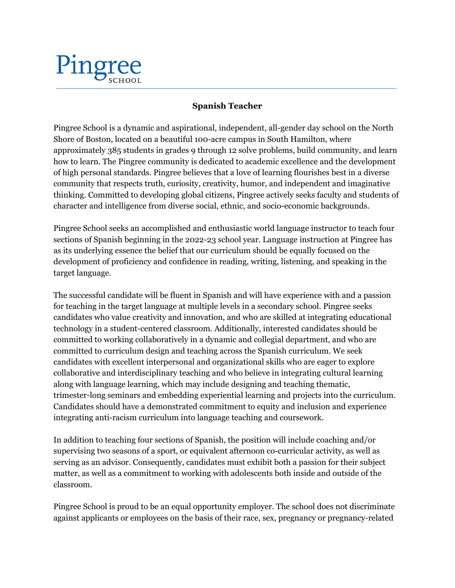## Pingree

## **Spanish Teacher**

Pingree School is a dynamic and aspirational, independent, all-gender day school on the North Shore of Boston, located on a beautiful 100-acre campus in South Hamilton, where approximately 385 students in grades 9 through 12 solve problems, build community, and learn how to learn. The Pingree community is dedicated to academic excellence and the development of high personal standards. Pingree believes that a love of learning flourishes best in a diverse community that respects truth, curiosity, creativity, humor, and independent and imaginative thinking. Committed to developing global citizens, Pingree actively seeks faculty and students of character and intelligence from diverse social, ethnic, and socio-economic backgrounds.

Pingree School seeks an accomplished and enthusiastic world language instructor to teach four sections of Spanish beginning in the 2022-23 school year. Language instruction at Pingree has as its underlying essence the belief that our curriculum should be equally focused on the development of proficiency and confidence in reading, writing, listening, and speaking in the target language.

The successful candidate will be fluent in Spanish and will have experience with and a passion for teaching in the target language at multiple levels in a secondary school. Pingree seeks candidates who value creativity and innovation, and who are skilled at integrating educational technology in a student-centered classroom. Additionally, interested candidates should be committed to working collaboratively in a dynamic and collegial department, and who are committed to curriculum design and teaching across the Spanish curriculum. We seek candidates with excellent interpersonal and organizational skills who are eager to explore collaborative and interdisciplinary teaching and who believe in integrating cultural learning along with language learning, which may include designing and teaching thematic, trimester-long seminars and embedding experiential learning and projects into the curriculum. Candidates should have a demonstrated commitment to equity and inclusion and experience integrating anti-racism curriculum into language teaching and coursework.

In addition to teaching four sections of Spanish, the position will include coaching and/or supervising two seasons of a sport, or equivalent afternoon co-curricular activity, as well as serving as an advisor. Consequently, candidates must exhibit both a passion for their subject matter, as well as a commitment to working with adolescents both inside and outside of the classroom.

Pingree School is proud to be an equal opportunity employer. The school does not discriminate against applicants or employees on the basis of their race, sex, pregnancy or pregnancy-related